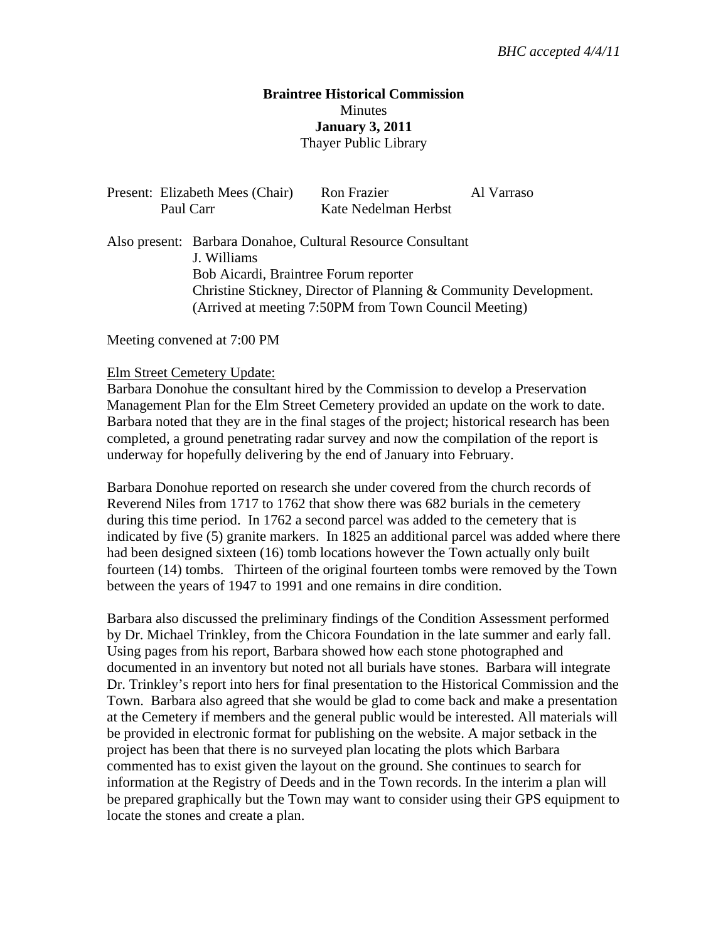## **Braintree Historical Commission Minutes January 3, 2011**  Thayer Public Library

| Present: Elizabeth Mees (Chair)<br>Paul Carr                               |                                       | Ron Frazier                                                       | Al Varraso |
|----------------------------------------------------------------------------|---------------------------------------|-------------------------------------------------------------------|------------|
|                                                                            |                                       | Kate Nedelman Herbst                                              |            |
| Also present: Barbara Donahoe, Cultural Resource Consultant<br>J. Williams |                                       |                                                                   |            |
|                                                                            | Bob Aicardi, Braintree Forum reporter |                                                                   |            |
|                                                                            |                                       | Christine Stickney, Director of Planning & Community Development. |            |
|                                                                            |                                       | (Arrived at meeting 7:50PM from Town Council Meeting)             |            |

Meeting convened at 7:00 PM

#### Elm Street Cemetery Update:

Barbara Donohue the consultant hired by the Commission to develop a Preservation Management Plan for the Elm Street Cemetery provided an update on the work to date. Barbara noted that they are in the final stages of the project; historical research has been completed, a ground penetrating radar survey and now the compilation of the report is underway for hopefully delivering by the end of January into February.

Barbara Donohue reported on research she under covered from the church records of Reverend Niles from 1717 to 1762 that show there was 682 burials in the cemetery during this time period. In 1762 a second parcel was added to the cemetery that is indicated by five (5) granite markers. In 1825 an additional parcel was added where there had been designed sixteen (16) tomb locations however the Town actually only built fourteen (14) tombs. Thirteen of the original fourteen tombs were removed by the Town between the years of 1947 to 1991 and one remains in dire condition.

Barbara also discussed the preliminary findings of the Condition Assessment performed by Dr. Michael Trinkley, from the Chicora Foundation in the late summer and early fall. Using pages from his report, Barbara showed how each stone photographed and documented in an inventory but noted not all burials have stones. Barbara will integrate Dr. Trinkley's report into hers for final presentation to the Historical Commission and the Town. Barbara also agreed that she would be glad to come back and make a presentation at the Cemetery if members and the general public would be interested. All materials will be provided in electronic format for publishing on the website. A major setback in the project has been that there is no surveyed plan locating the plots which Barbara commented has to exist given the layout on the ground. She continues to search for information at the Registry of Deeds and in the Town records. In the interim a plan will be prepared graphically but the Town may want to consider using their GPS equipment to locate the stones and create a plan.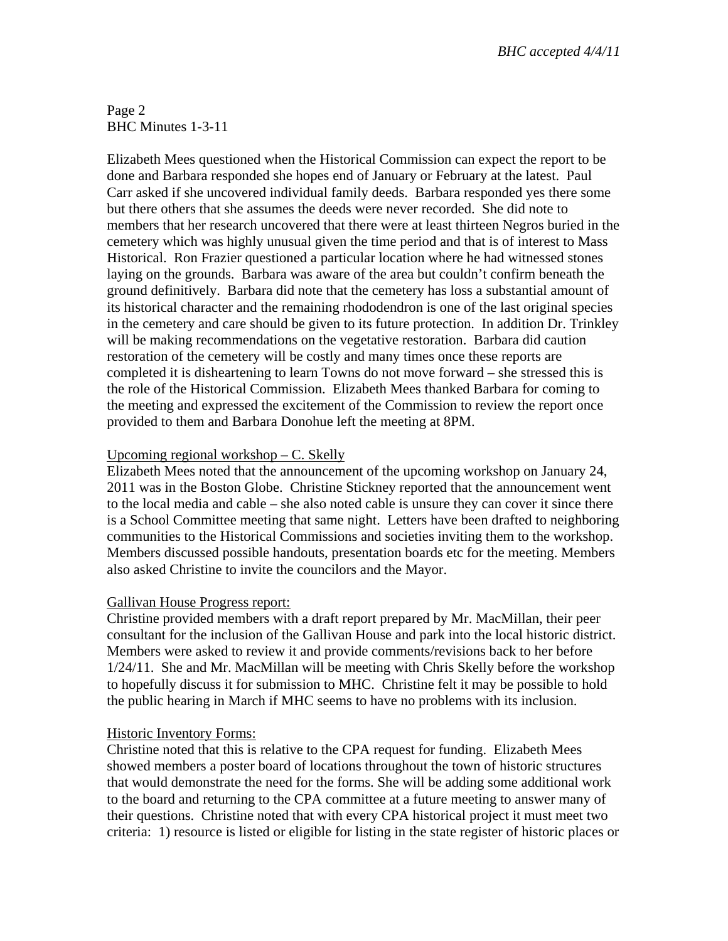Page 2 BHC Minutes 1-3-11

Elizabeth Mees questioned when the Historical Commission can expect the report to be done and Barbara responded she hopes end of January or February at the latest. Paul Carr asked if she uncovered individual family deeds. Barbara responded yes there some but there others that she assumes the deeds were never recorded. She did note to members that her research uncovered that there were at least thirteen Negros buried in the cemetery which was highly unusual given the time period and that is of interest to Mass Historical. Ron Frazier questioned a particular location where he had witnessed stones laying on the grounds. Barbara was aware of the area but couldn't confirm beneath the ground definitively. Barbara did note that the cemetery has loss a substantial amount of its historical character and the remaining rhododendron is one of the last original species in the cemetery and care should be given to its future protection. In addition Dr. Trinkley will be making recommendations on the vegetative restoration. Barbara did caution restoration of the cemetery will be costly and many times once these reports are completed it is disheartening to learn Towns do not move forward – she stressed this is the role of the Historical Commission. Elizabeth Mees thanked Barbara for coming to the meeting and expressed the excitement of the Commission to review the report once provided to them and Barbara Donohue left the meeting at 8PM.

### Upcoming regional workshop – C. Skelly

Elizabeth Mees noted that the announcement of the upcoming workshop on January 24, 2011 was in the Boston Globe. Christine Stickney reported that the announcement went to the local media and cable – she also noted cable is unsure they can cover it since there is a School Committee meeting that same night. Letters have been drafted to neighboring communities to the Historical Commissions and societies inviting them to the workshop. Members discussed possible handouts, presentation boards etc for the meeting. Members also asked Christine to invite the councilors and the Mayor.

# Gallivan House Progress report:

Christine provided members with a draft report prepared by Mr. MacMillan, their peer consultant for the inclusion of the Gallivan House and park into the local historic district. Members were asked to review it and provide comments/revisions back to her before 1/24/11. She and Mr. MacMillan will be meeting with Chris Skelly before the workshop to hopefully discuss it for submission to MHC. Christine felt it may be possible to hold the public hearing in March if MHC seems to have no problems with its inclusion.

### Historic Inventory Forms:

Christine noted that this is relative to the CPA request for funding. Elizabeth Mees showed members a poster board of locations throughout the town of historic structures that would demonstrate the need for the forms. She will be adding some additional work to the board and returning to the CPA committee at a future meeting to answer many of their questions. Christine noted that with every CPA historical project it must meet two criteria: 1) resource is listed or eligible for listing in the state register of historic places or